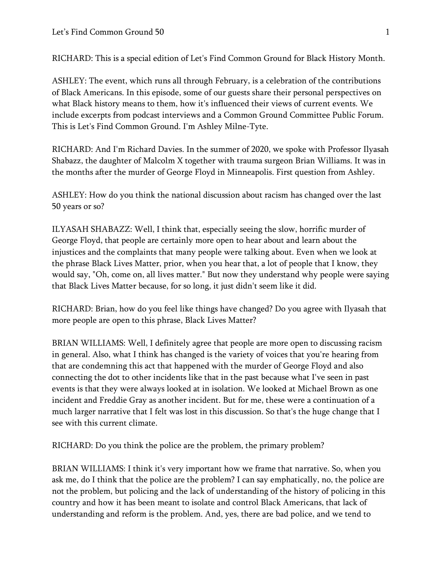RICHARD: This is a special edition of Let's Find Common Ground for Black History Month.

ASHLEY: The event, which runs all through February, is a celebration of the contributions of Black Americans. In this episode, some of our guests share their personal perspectives on what Black history means to them, how it's influenced their views of current events. We include excerpts from podcast interviews and a Common Ground Committee Public Forum. This is Let's Find Common Ground. I'm Ashley Milne-Tyte.

RICHARD: And I'm Richard Davies. In the summer of 2020, we spoke with Professor Ilyasah Shabazz, the daughter of Malcolm X together with trauma surgeon Brian Williams. It was in the months after the murder of George Floyd in Minneapolis. First question from Ashley.

ASHLEY: How do you think the national discussion about racism has changed over the last 50 years or so?

ILYASAH SHABAZZ: Well, I think that, especially seeing the slow, horrific murder of George Floyd, that people are certainly more open to hear about and learn about the injustices and the complaints that many people were talking about. Even when we look at the phrase Black Lives Matter, prior, when you hear that, a lot of people that I know, they would say, "Oh, come on, all lives matter." But now they understand why people were saying that Black Lives Matter because, for so long, it just didn't seem like it did.

RICHARD: Brian, how do you feel like things have changed? Do you agree with Ilyasah that more people are open to this phrase, Black Lives Matter?

BRIAN WILLIAMS: Well, I definitely agree that people are more open to discussing racism in general. Also, what I think has changed is the variety of voices that you're hearing from that are condemning this act that happened with the murder of George Floyd and also connecting the dot to other incidents like that in the past because what I've seen in past events is that they were always looked at in isolation. We looked at Michael Brown as one incident and Freddie Gray as another incident. But for me, these were a continuation of a much larger narrative that I felt was lost in this discussion. So that's the huge change that I see with this current climate.

RICHARD: Do you think the police are the problem, the primary problem?

BRIAN WILLIAMS: I think it's very important how we frame that narrative. So, when you ask me, do I think that the police are the problem? I can say emphatically, no, the police are not the problem, but policing and the lack of understanding of the history of policing in this country and how it has been meant to isolate and control Black Americans, that lack of understanding and reform is the problem. And, yes, there are bad police, and we tend to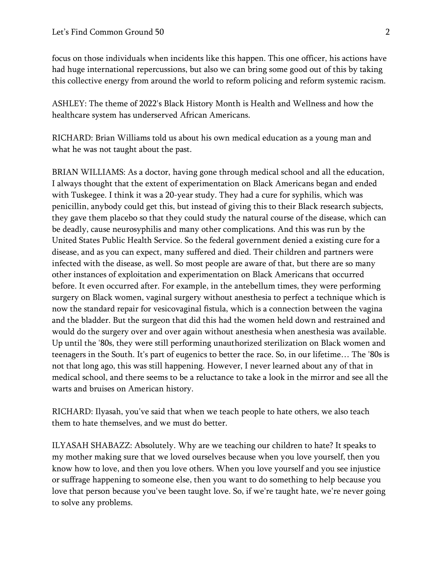focus on those individuals when incidents like this happen. This one officer, his actions have had huge international repercussions, but also we can bring some good out of this by taking this collective energy from around the world to reform policing and reform systemic racism.

ASHLEY: The theme of 2022's Black History Month is Health and Wellness and how the healthcare system has underserved African Americans.

RICHARD: Brian Williams told us about his own medical education as a young man and what he was not taught about the past.

BRIAN WILLIAMS: As a doctor, having gone through medical school and all the education, I always thought that the extent of experimentation on Black Americans began and ended with Tuskegee. I think it was a 20-year study. They had a cure for syphilis, which was penicillin, anybody could get this, but instead of giving this to their Black research subjects, they gave them placebo so that they could study the natural course of the disease, which can be deadly, cause neurosyphilis and many other complications. And this was run by the United States Public Health Service. So the federal government denied a existing cure for a disease, and as you can expect, many suffered and died. Their children and partners were infected with the disease, as well. So most people are aware of that, but there are so many other instances of exploitation and experimentation on Black Americans that occurred before. It even occurred after. For example, in the antebellum times, they were performing surgery on Black women, vaginal surgery without anesthesia to perfect a technique which is now the standard repair for vesicovaginal fistula, which is a connection between the vagina and the bladder. But the surgeon that did this had the women held down and restrained and would do the surgery over and over again without anesthesia when anesthesia was available. Up until the '80s, they were still performing unauthorized sterilization on Black women and teenagers in the South. It's part of eugenics to better the race. So, in our lifetime… The '80s is not that long ago, this was still happening. However, I never learned about any of that in medical school, and there seems to be a reluctance to take a look in the mirror and see all the warts and bruises on American history.

RICHARD: Ilyasah, you've said that when we teach people to hate others, we also teach them to hate themselves, and we must do better.

ILYASAH SHABAZZ: Absolutely. Why are we teaching our children to hate? It speaks to my mother making sure that we loved ourselves because when you love yourself, then you know how to love, and then you love others. When you love yourself and you see injustice or suffrage happening to someone else, then you want to do something to help because you love that person because you've been taught love. So, if we're taught hate, we're never going to solve any problems.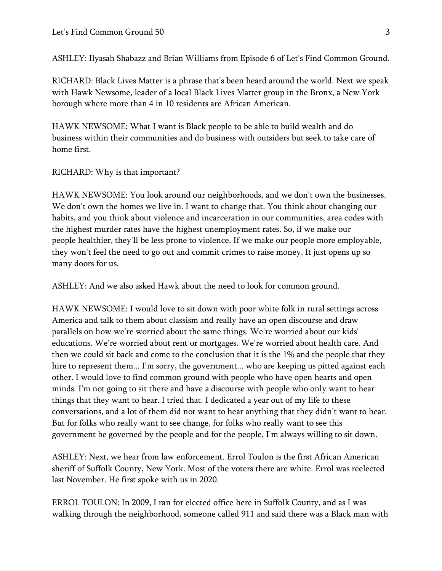ASHLEY: Ilyasah Shabazz and Brian Williams from Episode 6 of Let's Find Common Ground.

RICHARD: Black Lives Matter is a phrase that's been heard around the world. Next we speak with Hawk Newsome, leader of a local Black Lives Matter group in the Bronx, a New York borough where more than 4 in 10 residents are African American.

HAWK NEWSOME: What I want is Black people to be able to build wealth and do business within their communities and do business with outsiders but seek to take care of home first.

## RICHARD: Why is that important?

HAWK NEWSOME: You look around our neighborhoods, and we don't own the businesses. We don't own the homes we live in. I want to change that. You think about changing our habits, and you think about violence and incarceration in our communities, area codes with the highest murder rates have the highest unemployment rates. So, if we make our people healthier, they'll be less prone to violence. If we make our people more employable, they won't feel the need to go out and commit crimes to raise money. It just opens up so many doors for us.

ASHLEY: And we also asked Hawk about the need to look for common ground.

HAWK NEWSOME: I would love to sit down with poor white folk in rural settings across America and talk to them about classism and really have an open discourse and draw parallels on how we're worried about the same things. We're worried about our kids' educations. We're worried about rent or mortgages. We're worried about health care. And then we could sit back and come to the conclusion that it is the 1% and the people that they hire to represent them... I'm sorry, the government... who are keeping us pitted against each other. I would love to find common ground with people who have open hearts and open minds. I'm not going to sit there and have a discourse with people who only want to hear things that they want to hear. I tried that. I dedicated a year out of my life to these conversations, and a lot of them did not want to hear anything that they didn't want to hear. But for folks who really want to see change, for folks who really want to see this government be governed by the people and for the people, I'm always willing to sit down.

ASHLEY: Next, we hear from law enforcement. Errol Toulon is the first African American sheriff of Suffolk County, New York. Most of the voters there are white. Errol was reelected last November. He first spoke with us in 2020.

ERROL TOULON: In 2009, I ran for elected office here in Suffolk County, and as I was walking through the neighborhood, someone called 911 and said there was a Black man with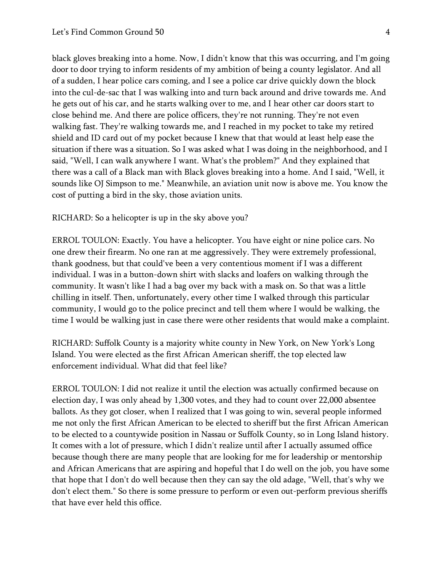black gloves breaking into a home. Now, I didn't know that this was occurring, and I'm going door to door trying to inform residents of my ambition of being a county legislator. And all of a sudden, I hear police cars coming, and I see a police car drive quickly down the block into the cul-de-sac that I was walking into and turn back around and drive towards me. And he gets out of his car, and he starts walking over to me, and I hear other car doors start to close behind me. And there are police officers, they're not running. They're not even walking fast. They're walking towards me, and I reached in my pocket to take my retired shield and ID card out of my pocket because I knew that that would at least help ease the situation if there was a situation. So I was asked what I was doing in the neighborhood, and I said, "Well, I can walk anywhere I want. What's the problem?" And they explained that there was a call of a Black man with Black gloves breaking into a home. And I said, "Well, it sounds like OJ Simpson to me." Meanwhile, an aviation unit now is above me. You know the cost of putting a bird in the sky, those aviation units.

RICHARD: So a helicopter is up in the sky above you?

ERROL TOULON: Exactly. You have a helicopter. You have eight or nine police cars. No one drew their firearm. No one ran at me aggressively. They were extremely professional, thank goodness, but that could've been a very contentious moment if I was a different individual. I was in a button-down shirt with slacks and loafers on walking through the community. It wasn't like I had a bag over my back with a mask on. So that was a little chilling in itself. Then, unfortunately, every other time I walked through this particular community, I would go to the police precinct and tell them where I would be walking, the time I would be walking just in case there were other residents that would make a complaint.

RICHARD: Suffolk County is a majority white county in New York, on New York's Long Island. You were elected as the first African American sheriff, the top elected law enforcement individual. What did that feel like?

ERROL TOULON: I did not realize it until the election was actually confirmed because on election day, I was only ahead by 1,300 votes, and they had to count over 22,000 absentee ballots. As they got closer, when I realized that I was going to win, several people informed me not only the first African American to be elected to sheriff but the first African American to be elected to a countywide position in Nassau or Suffolk County, so in Long Island history. It comes with a lot of pressure, which I didn't realize until after I actually assumed office because though there are many people that are looking for me for leadership or mentorship and African Americans that are aspiring and hopeful that I do well on the job, you have some that hope that I don't do well because then they can say the old adage, "Well, that's why we don't elect them." So there is some pressure to perform or even out-perform previous sheriffs that have ever held this office.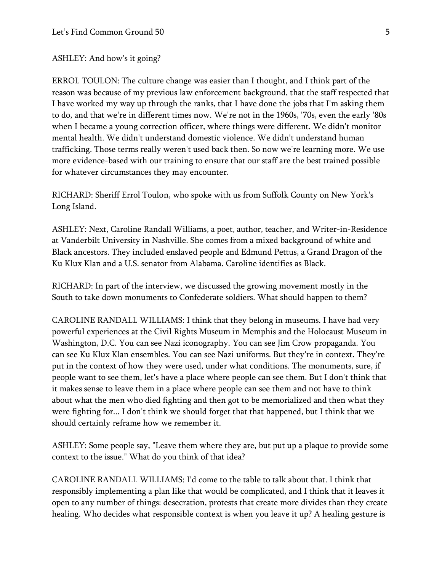ASHLEY: And how's it going?

ERROL TOULON: The culture change was easier than I thought, and I think part of the reason was because of my previous law enforcement background, that the staff respected that I have worked my way up through the ranks, that I have done the jobs that I'm asking them to do, and that we're in different times now. We're not in the 1960s, '70s, even the early '80s when I became a young correction officer, where things were different. We didn't monitor mental health. We didn't understand domestic violence. We didn't understand human trafficking. Those terms really weren't used back then. So now we're learning more. We use more evidence-based with our training to ensure that our staff are the best trained possible for whatever circumstances they may encounter.

RICHARD: Sheriff Errol Toulon, who spoke with us from Suffolk County on New York's Long Island.

ASHLEY: Next, Caroline Randall Williams, a poet, author, teacher, and Writer-in-Residence at Vanderbilt University in Nashville. She comes from a mixed background of white and Black ancestors. They included enslaved people and Edmund Pettus, a Grand Dragon of the Ku Klux Klan and a U.S. senator from Alabama. Caroline identifies as Black.

RICHARD: In part of the interview, we discussed the growing movement mostly in the South to take down monuments to Confederate soldiers. What should happen to them?

CAROLINE RANDALL WILLIAMS: I think that they belong in museums. I have had very powerful experiences at the Civil Rights Museum in Memphis and the Holocaust Museum in Washington, D.C. You can see Nazi iconography. You can see Jim Crow propaganda. You can see Ku Klux Klan ensembles. You can see Nazi uniforms. But they're in context. They're put in the context of how they were used, under what conditions. The monuments, sure, if people want to see them, let's have a place where people can see them. But I don't think that it makes sense to leave them in a place where people can see them and not have to think about what the men who died fighting and then got to be memorialized and then what they were fighting for... I don't think we should forget that that happened, but I think that we should certainly reframe how we remember it.

ASHLEY: Some people say, "Leave them where they are, but put up a plaque to provide some context to the issue." What do you think of that idea?

CAROLINE RANDALL WILLIAMS: I'd come to the table to talk about that. I think that responsibly implementing a plan like that would be complicated, and I think that it leaves it open to any number of things: desecration, protests that create more divides than they create healing. Who decides what responsible context is when you leave it up? A healing gesture is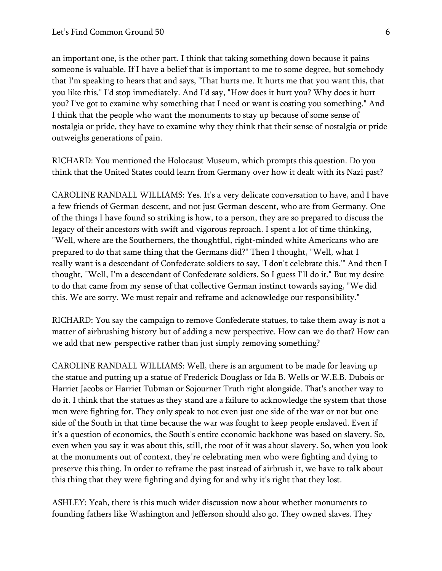an important one, is the other part. I think that taking something down because it pains someone is valuable. If I have a belief that is important to me to some degree, but somebody that I'm speaking to hears that and says, "That hurts me. It hurts me that you want this, that you like this," I'd stop immediately. And I'd say, "How does it hurt you? Why does it hurt you? I've got to examine why something that I need or want is costing you something." And I think that the people who want the monuments to stay up because of some sense of nostalgia or pride, they have to examine why they think that their sense of nostalgia or pride outweighs generations of pain.

RICHARD: You mentioned the Holocaust Museum, which prompts this question. Do you think that the United States could learn from Germany over how it dealt with its Nazi past?

CAROLINE RANDALL WILLIAMS: Yes. It's a very delicate conversation to have, and I have a few friends of German descent, and not just German descent, who are from Germany. One of the things I have found so striking is how, to a person, they are so prepared to discuss the legacy of their ancestors with swift and vigorous reproach. I spent a lot of time thinking, "Well, where are the Southerners, the thoughtful, right-minded white Americans who are prepared to do that same thing that the Germans did?" Then I thought, "Well, what I really want is a descendant of Confederate soldiers to say, 'I don't celebrate this.'" And then I thought, "Well, I'm a descendant of Confederate soldiers. So I guess I'll do it." But my desire to do that came from my sense of that collective German instinct towards saying, "We did this. We are sorry. We must repair and reframe and acknowledge our responsibility."

RICHARD: You say the campaign to remove Confederate statues, to take them away is not a matter of airbrushing history but of adding a new perspective. How can we do that? How can we add that new perspective rather than just simply removing something?

CAROLINE RANDALL WILLIAMS: Well, there is an argument to be made for leaving up the statue and putting up a statue of Frederick Douglass or Ida B. Wells or W.E.B. Dubois or Harriet Jacobs or Harriet Tubman or Sojourner Truth right alongside. That's another way to do it. I think that the statues as they stand are a failure to acknowledge the system that those men were fighting for. They only speak to not even just one side of the war or not but one side of the South in that time because the war was fought to keep people enslaved. Even if it's a question of economics, the South's entire economic backbone was based on slavery. So, even when you say it was about this, still, the root of it was about slavery. So, when you look at the monuments out of context, they're celebrating men who were fighting and dying to preserve this thing. In order to reframe the past instead of airbrush it, we have to talk about this thing that they were fighting and dying for and why it's right that they lost.

ASHLEY: Yeah, there is this much wider discussion now about whether monuments to founding fathers like Washington and Jefferson should also go. They owned slaves. They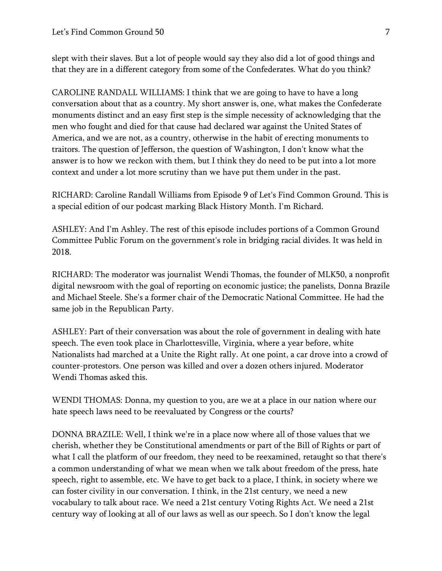slept with their slaves. But a lot of people would say they also did a lot of good things and that they are in a different category from some of the Confederates. What do you think?

CAROLINE RANDALL WILLIAMS: I think that we are going to have to have a long conversation about that as a country. My short answer is, one, what makes the Confederate monuments distinct and an easy first step is the simple necessity of acknowledging that the men who fought and died for that cause had declared war against the United States of America, and we are not, as a country, otherwise in the habit of erecting monuments to traitors. The question of Jefferson, the question of Washington, I don't know what the answer is to how we reckon with them, but I think they do need to be put into a lot more context and under a lot more scrutiny than we have put them under in the past.

RICHARD: Caroline Randall Williams from Episode 9 of Let's Find Common Ground. This is a special edition of our podcast marking Black History Month. I'm Richard.

ASHLEY: And I'm Ashley. The rest of this episode includes portions of a Common Ground Committee Public Forum on the government's role in bridging racial divides. It was held in 2018.

RICHARD: The moderator was journalist Wendi Thomas, the founder of MLK50, a nonprofit digital newsroom with the goal of reporting on economic justice; the panelists, Donna Brazile and Michael Steele. She's a former chair of the Democratic National Committee. He had the same job in the Republican Party.

ASHLEY: Part of their conversation was about the role of government in dealing with hate speech. The even took place in Charlottesville, Virginia, where a year before, white Nationalists had marched at a Unite the Right rally. At one point, a car drove into a crowd of counter-protestors. One person was killed and over a dozen others injured. Moderator Wendi Thomas asked this.

WENDI THOMAS: Donna, my question to you, are we at a place in our nation where our hate speech laws need to be reevaluated by Congress or the courts?

DONNA BRAZILE: Well, I think we're in a place now where all of those values that we cherish, whether they be Constitutional amendments or part of the Bill of Rights or part of what I call the platform of our freedom, they need to be reexamined, retaught so that there's a common understanding of what we mean when we talk about freedom of the press, hate speech, right to assemble, etc. We have to get back to a place, I think, in society where we can foster civility in our conversation. I think, in the 21st century, we need a new vocabulary to talk about race. We need a 21st century Voting Rights Act. We need a 21st century way of looking at all of our laws as well as our speech. So I don't know the legal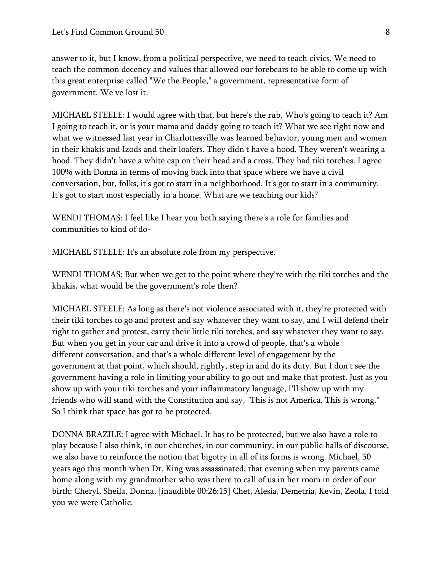answer to it, but I know, from a political perspective, we need to teach civics. We need to teach the common decency and values that allowed our forebears to be able to come up with this great enterprise called "We the People," a government, representative form of government. We've lost it.

MICHAEL STEELE: I would agree with that, but here's the rub. Who's going to teach it? Am I going to teach it, or is your mama and daddy going to teach it? What we see right now and what we witnessed last year in Charlottesville was learned behavior, young men and women in their khakis and Izods and their loafers. They didn't have a hood. They weren't wearing a hood. They didn't have a white cap on their head and a cross. They had tiki torches. I agree 100% with Donna in terms of moving back into that space where we have a civil conversation, but, folks, it's got to start in a neighborhood. It's got to start in a community. It's got to start most especially in a home. What are we teaching our kids?

WENDI THOMAS: I feel like I hear you both saying there's a role for families and communities to kind of do-

MICHAEL STEELE: It's an absolute role from my perspective.

WENDI THOMAS: But when we get to the point where they're with the tiki torches and the khakis, what would be the government's role then?

MICHAEL STEELE: As long as there's not violence associated with it, they're protected with their tiki torches to go and protest and say whatever they want to say, and I will defend their right to gather and protest, carry their little tiki torches, and say whatever they want to say. But when you get in your car and drive it into a crowd of people, that's a whole different conversation, and that's a whole different level of engagement by the government at that point, which should, rightly, step in and do its duty. But I don't see the government having a role in limiting your ability to go out and make that protest. Just as you show up with your tiki torches and your inflammatory language, I'll show up with my friends who will stand with the Constitution and say, "This is not America. This is wrong." So I think that space has got to be protected.

DONNA BRAZILE: I agree with Michael. It has to be protected, but we also have a role to play because I also think, in our churches, in our community, in our public halls of discourse, we also have to reinforce the notion that bigotry in all of its forms is wrong. Michael, 50 years ago this month when Dr. King was assassinated, that evening when my parents came home along with my grandmother who was there to call of us in her room in order of our birth: Cheryl, Sheila, Donna, [inaudible 00:26:15] Chet, Alesia, Demetria, Kevin, Zeola. I told you we were Catholic.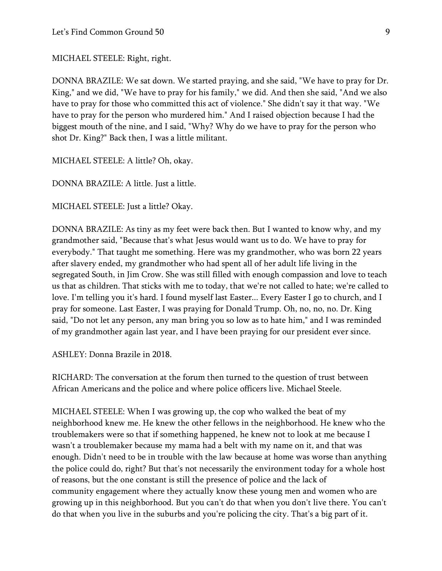MICHAEL STEELE: Right, right.

DONNA BRAZILE: We sat down. We started praying, and she said, "We have to pray for Dr. King," and we did, "We have to pray for his family," we did. And then she said, "And we also have to pray for those who committed this act of violence." She didn't say it that way. "We have to pray for the person who murdered him." And I raised objection because I had the biggest mouth of the nine, and I said, "Why? Why do we have to pray for the person who shot Dr. King?" Back then, I was a little militant.

MICHAEL STEELE: A little? Oh, okay.

DONNA BRAZILE: A little. Just a little.

MICHAEL STEELE: Just a little? Okay.

DONNA BRAZILE: As tiny as my feet were back then. But I wanted to know why, and my grandmother said, "Because that's what Jesus would want us to do. We have to pray for everybody." That taught me something. Here was my grandmother, who was born 22 years after slavery ended, my grandmother who had spent all of her adult life living in the segregated South, in Jim Crow. She was still filled with enough compassion and love to teach us that as children. That sticks with me to today, that we're not called to hate; we're called to love. I'm telling you it's hard. I found myself last Easter... Every Easter I go to church, and I pray for someone. Last Easter, I was praying for Donald Trump. Oh, no, no, no. Dr. King said, "Do not let any person, any man bring you so low as to hate him," and I was reminded of my grandmother again last year, and I have been praying for our president ever since.

ASHLEY: Donna Brazile in 2018.

RICHARD: The conversation at the forum then turned to the question of trust between African Americans and the police and where police officers live. Michael Steele.

MICHAEL STEELE: When I was growing up, the cop who walked the beat of my neighborhood knew me. He knew the other fellows in the neighborhood. He knew who the troublemakers were so that if something happened, he knew not to look at me because I wasn't a troublemaker because my mama had a belt with my name on it, and that was enough. Didn't need to be in trouble with the law because at home was worse than anything the police could do, right? But that's not necessarily the environment today for a whole host of reasons, but the one constant is still the presence of police and the lack of community engagement where they actually know these young men and women who are growing up in this neighborhood. But you can't do that when you don't live there. You can't do that when you live in the suburbs and you're policing the city. That's a big part of it.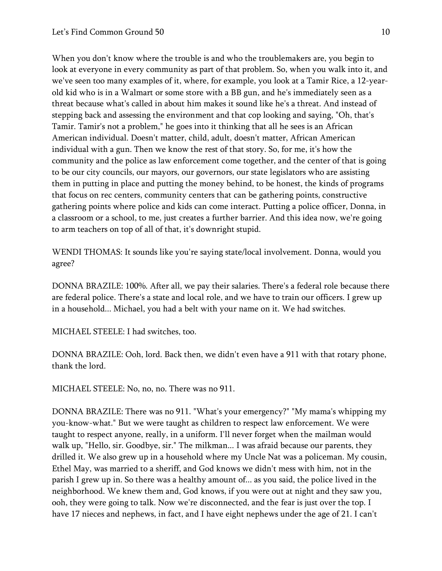When you don't know where the trouble is and who the troublemakers are, you begin to look at everyone in every community as part of that problem. So, when you walk into it, and we've seen too many examples of it, where, for example, you look at a Tamir Rice, a 12-yearold kid who is in a Walmart or some store with a BB gun, and he's immediately seen as a threat because what's called in about him makes it sound like he's a threat. And instead of stepping back and assessing the environment and that cop looking and saying, "Oh, that's Tamir. Tamir's not a problem," he goes into it thinking that all he sees is an African American individual. Doesn't matter, child, adult, doesn't matter, African American individual with a gun. Then we know the rest of that story. So, for me, it's how the community and the police as law enforcement come together, and the center of that is going to be our city councils, our mayors, our governors, our state legislators who are assisting them in putting in place and putting the money behind, to be honest, the kinds of programs that focus on rec centers, community centers that can be gathering points, constructive gathering points where police and kids can come interact. Putting a police officer, Donna, in a classroom or a school, to me, just creates a further barrier. And this idea now, we're going to arm teachers on top of all of that, it's downright stupid.

WENDI THOMAS: It sounds like you're saying state/local involvement. Donna, would you agree?

DONNA BRAZILE: 100%. After all, we pay their salaries. There's a federal role because there are federal police. There's a state and local role, and we have to train our officers. I grew up in a household... Michael, you had a belt with your name on it. We had switches.

MICHAEL STEELE: I had switches, too.

DONNA BRAZILE: Ooh, lord. Back then, we didn't even have a 911 with that rotary phone, thank the lord.

MICHAEL STEELE: No, no, no. There was no 911.

DONNA BRAZILE: There was no 911. "What's your emergency?" "My mama's whipping my you-know-what." But we were taught as children to respect law enforcement. We were taught to respect anyone, really, in a uniform. I'll never forget when the mailman would walk up, "Hello, sir. Goodbye, sir." The milkman... I was afraid because our parents, they drilled it. We also grew up in a household where my Uncle Nat was a policeman. My cousin, Ethel May, was married to a sheriff, and God knows we didn't mess with him, not in the parish I grew up in. So there was a healthy amount of... as you said, the police lived in the neighborhood. We knew them and, God knows, if you were out at night and they saw you, ooh, they were going to talk. Now we're disconnected, and the fear is just over the top. I have 17 nieces and nephews, in fact, and I have eight nephews under the age of 21. I can't